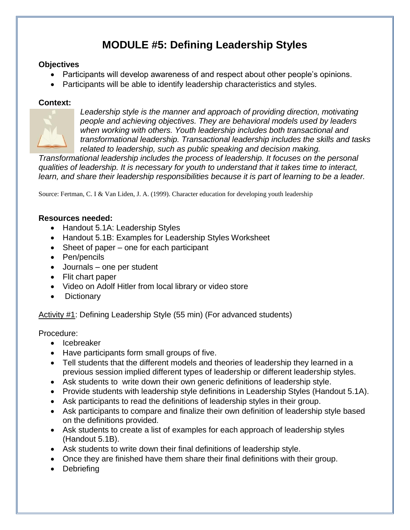# **MODULE #5: Defining Leadership Styles**

### **Objectives**

- Participants will develop awareness of and respect about other people's opinions.
- Participants will be able to identify leadership characteristics and styles.

### **Context:**



*Leadership style is the manner and approach of providing direction, motivating people and achieving objectives. They are behavioral models used by leaders when working with others. Youth leadership includes both transactional and transformational leadership. Transactional leadership includes the skills and tasks related to leadership, such as public speaking and decision making.* 

*Transformational leadership includes the process of leadership. It focuses on the personal qualities of leadership. It is necessary for youth to understand that it takes time to interact, learn, and share their leadership responsibilities because it is part of learning to be a leader.*

Source: Fertman, C. I & Van Liden, J. A. (1999). Character education for developing youth leadership

### **Resources needed:**

- Handout 5.1A: Leadership Styles
- Handout 5.1B: Examples for Leadership Styles Worksheet
- Sheet of paper one for each participant
- Pen/pencils
- Journals one per student
- Flit chart paper
- Video on Adolf Hitler from local library or video store
- Dictionary

Activity #1: Defining Leadership Style (55 min) (For advanced students)

Procedure:

- Icebreaker
- Have participants form small groups of five.
- Tell students that the different models and theories of leadership they learned in a previous session implied different types of leadership or different leadership styles.
- Ask students to write down their own generic definitions of leadership style.
- Provide students with leadership style definitions in Leadership Styles (Handout 5.1A).
- Ask participants to read the definitions of leadership styles in their group.
- Ask participants to compare and finalize their own definition of leadership style based on the definitions provided.
- Ask students to create a list of examples for each approach of leadership styles (Handout 5.1B).
- Ask students to write down their final definitions of leadership style.
- Once they are finished have them share their final definitions with their group.
- Debriefing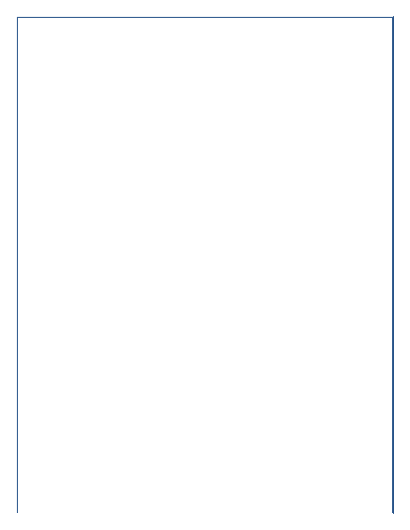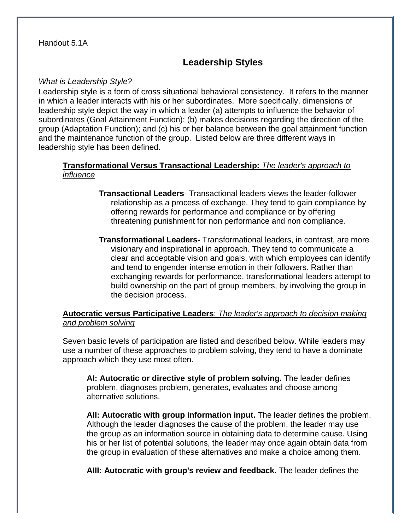## **Leadership Styles**

### *What is Leadership Style?*

Leadership style is a form of cross situational behavioral consistency. It refers to the manner in which a leader interacts with his or her subordinates. More specifically, dimensions of leadership style depict the way in which a leader (a) attempts to influence the behavior of subordinates (Goal Attainment Function); (b) makes decisions regarding the direction of the group (Adaptation Function); and (c) his or her balance between the goal attainment function and the maintenance function of the group. Listed below are three different ways in leadership style has been defined.

#### **Transformational Versus Transactional Leadership:** *The leader's approach to influence*

- **Transactional Leaders** Transactional leaders views the leader-follower relationship as a process of exchange. They tend to gain compliance by offering rewards for performance and compliance or by offering threatening punishment for non performance and non compliance.
- **Transformational Leaders-** Transformational leaders, in contrast, are more visionary and inspirational in approach. They tend to communicate a clear and acceptable vision and goals, with which employees can identify and tend to engender intense emotion in their followers. Rather than exchanging rewards for performance, transformational leaders attempt to build ownership on the part of group members, by involving the group in the decision process.

**Autocratic versus Participative Leaders**: *The leader's approach to decision making and problem solving*

Seven basic levels of participation are listed and described below. While leaders may use a number of these approaches to problem solving, they tend to have a dominate approach which they use most often.

**AI: Autocratic or directive style of problem solving.** The leader defines problem, diagnoses problem, generates, evaluates and choose among alternative solutions.

**AII: Autocratic with group information input.** The leader defines the problem. Although the leader diagnoses the cause of the problem, the leader may use the group as an information source in obtaining data to determine cause. Using his or her list of potential solutions, the leader may once again obtain data from the group in evaluation of these alternatives and make a choice among them.

**AIII: Autocratic with group's review and feedback.** The leader defines the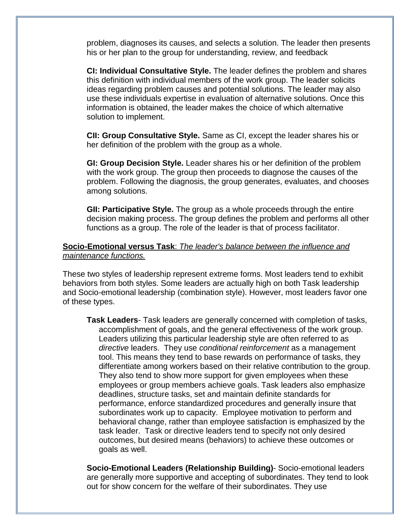problem, diagnoses its causes, and selects a solution. The leader then presents his or her plan to the group for understanding, review, and feedback

**CI: Individual Consultative Style.** The leader defines the problem and shares this definition with individual members of the work group. The leader solicits ideas regarding problem causes and potential solutions. The leader may also use these individuals expertise in evaluation of alternative solutions. Once this information is obtained, the leader makes the choice of which alternative solution to implement.

**CII: Group Consultative Style.** Same as CI, except the leader shares his or her definition of the problem with the group as a whole.

**GI: Group Decision Style.** Leader shares his or her definition of the problem with the work group. The group then proceeds to diagnose the causes of the problem. Following the diagnosis, the group generates, evaluates, and chooses among solutions.

**GII: Participative Style.** The group as a whole proceeds through the entire decision making process. The group defines the problem and performs all other functions as a group. The role of the leader is that of process facilitator.

### **Socio-Emotional versus Task**: *The leader's balance between the influence and maintenance functions.*

These two styles of leadership represent extreme forms. Most leaders tend to exhibit behaviors from both styles. Some leaders are actually high on both Task leadership and Socio-emotional leadership (combination style). However, most leaders favor one of these types.

**Task Leaders**- Task leaders are generally concerned with completion of tasks, accomplishment of goals, and the general effectiveness of the work group. Leaders utilizing this particular leadership style are often referred to as *directive* leaders. They use *conditional reinforcement* as a management tool. This means they tend to base rewards on performance of tasks, they differentiate among workers based on their relative contribution to the group. They also tend to show more support for given employees when these employees or group members achieve goals. Task leaders also emphasize deadlines, structure tasks, set and maintain definite standards for performance, enforce standardized procedures and generally insure that subordinates work up to capacity. Employee motivation to perform and behavioral change, rather than employee satisfaction is emphasized by the task leader. Task or directive leaders tend to specify not only desired outcomes, but desired means (behaviors) to achieve these outcomes or goals as well.

**Socio-Emotional Leaders (Relationship Building)**- Socio-emotional leaders are generally more supportive and accepting of subordinates. They tend to look out for show concern for the welfare of their subordinates. They use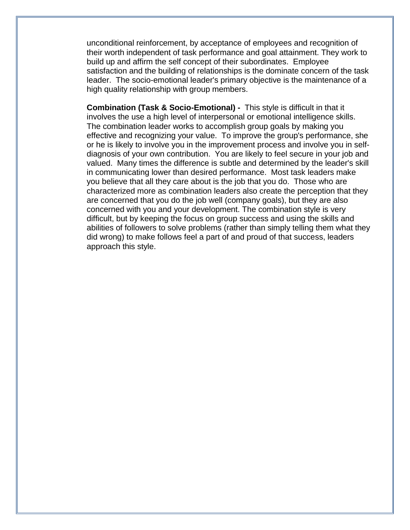unconditional reinforcement, by acceptance of employees and recognition of their worth independent of task performance and goal attainment. They work to build up and affirm the self concept of their subordinates. Employee satisfaction and the building of relationships is the dominate concern of the task leader. The socio-emotional leader's primary objective is the maintenance of a high quality relationship with group members.

**Combination (Task & Socio-Emotional) -** This style is difficult in that it involves the use a high level of interpersonal or emotional intelligence skills. The combination leader works to accomplish group goals by making you effective and recognizing your value. To improve the group's performance, she or he is likely to involve you in the improvement process and involve you in selfdiagnosis of your own contribution. You are likely to feel secure in your job and valued. Many times the difference is subtle and determined by the leader's skill in communicating lower than desired performance. Most task leaders make you believe that all they care about is the job that you do. Those who are characterized more as combination leaders also create the perception that they are concerned that you do the job well (company goals), but they are also concerned with you and your development. The combination style is very difficult, but by keeping the focus on group success and using the skills and abilities of followers to solve problems (rather than simply telling them what they did wrong) to make follows feel a part of and proud of that success, leaders approach this style.